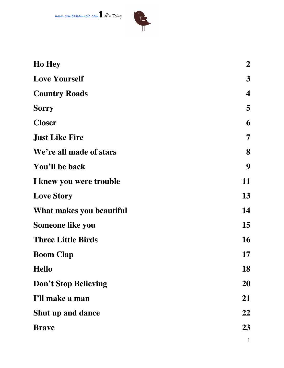

| <b>Ho Hey</b>               | $\overline{2}$          |
|-----------------------------|-------------------------|
| <b>Love Yourself</b>        | $\mathbf{3}$            |
| <b>Country Roads</b>        | $\overline{\mathbf{4}}$ |
| <b>Sorry</b>                | 5                       |
| <b>Closer</b>               | 6                       |
| <b>Just Like Fire</b>       | 7                       |
| We're all made of stars     | 8                       |
| You'll be back              | 9                       |
| I knew you were trouble     | 11                      |
| <b>Love Story</b>           | 13                      |
| What makes you beautiful    | 14                      |
| Someone like you            | 15                      |
| <b>Three Little Birds</b>   | 16                      |
| <b>Boom Clap</b>            | 17                      |
| <b>Hello</b>                | 18                      |
| <b>Don't Stop Believing</b> | <b>20</b>               |
| I'll make a man             | 21                      |
| <b>Shut up and dance</b>    | 22                      |
| <b>Brave</b>                | 23                      |
|                             | 1                       |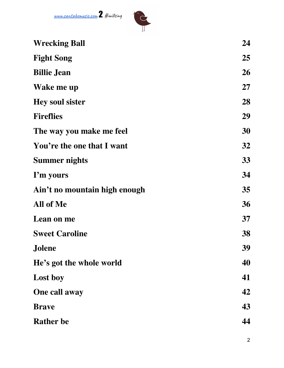

| <b>Wrecking Ball</b>          | 24        |
|-------------------------------|-----------|
| <b>Fight Song</b>             | 25        |
| <b>Billie Jean</b>            | <b>26</b> |
| Wake me up                    | 27        |
| <b>Hey soul sister</b>        | 28        |
| <b>Fireflies</b>              | 29        |
| The way you make me feel      | 30        |
| You're the one that I want    | 32        |
| <b>Summer nights</b>          | <b>33</b> |
| I'm yours                     | 34        |
| Ain't no mountain high enough | 35        |
| All of Me                     | 36        |
| Lean on me                    | 37        |
| <b>Sweet Caroline</b>         | 38        |
| <b>Jolene</b>                 | 39        |
| He's got the whole world      | 40        |
| <b>Lost boy</b>               | 41        |
| <b>One call away</b>          | 42        |
| <b>Brave</b>                  | 43        |
| <b>Rather be</b>              | 44        |
|                               |           |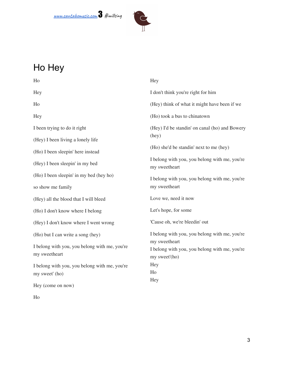# [www.cantabomusic.com](http://www.cantabomusic.com/) 3 #iwillsing



# Ho Hey

| Ho                                                             | Hey                                                            |
|----------------------------------------------------------------|----------------------------------------------------------------|
| Hey                                                            | I don't think you're right for him                             |
| Ho                                                             | (Hey) think of what it might have been if we                   |
| Hey                                                            | (Ho) took a bus to chinatown                                   |
| I been trying to do it right                                   | (Hey) I'd be standin' on canal (ho) and Bowery                 |
| (Hey) I been living a lonely life                              | (hey)                                                          |
| (Ho) I been sleepin' here instead                              | (Ho) she'd be standin' next to me (hey)                        |
| (Hey) I been sleepin' in my bed                                | I belong with you, you belong with me, you're<br>my sweetheart |
| (Ho) I been sleepin' in my bed (hey ho)                        | I belong with you, you belong with me, you're                  |
| so show me family                                              | my sweetheart                                                  |
| (Hey) all the blood that I will bleed                          | Love we, need it now                                           |
| (Ho) I don't know where I belong                               | Let's hope, for some                                           |
| (Hey) I don't know where I went wrong                          | 'Cause oh, we're bleedin' out                                  |
| (Ho) but I can write a song (hey)                              | I belong with you, you belong with me, you're                  |
| I belong with you, you belong with me, you're<br>my sweetheart | my sweetheart<br>I belong with you, you belong with me, you're |
|                                                                | my sweet'(ho)                                                  |
| I belong with you, you belong with me, you're                  | Hey                                                            |
| my sweet' (ho)                                                 | Ho                                                             |
| Hey (come on now)                                              | Hey                                                            |

Ho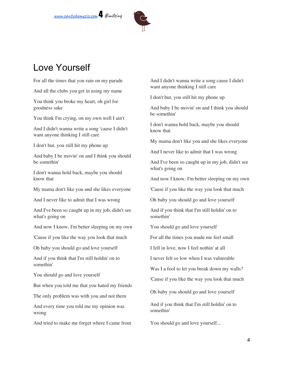[www.cantabomusic.com](http://www.cantabomusic.com/) 4 #iwillsing



## Love Yourself

For all the times that you rain on my parade

And all the clubs you get in using my name

You think you broke my heart, oh girl for goodness sake

You think I'm crying, on my own well I ain't

And I didn't wanna write a song 'cause I didn't want anyone thinking I still care

I don't but, you still hit my phone up

And baby I be movin' on and I think you should be somethin'

I don't wanna hold back, maybe you should know that

My mama don't like you and she likes everyone

And I never like to admit that I was wrong

And I've been so caught up in my job, didn't see what's going on

And now I know, I'm better sleeping on my own

'Cause if you like the way you look that much

Oh baby you should go and love yourself

And if you think that I'm still holdin' on to somethin'

You should go and love yourself

But when you told me that you hated my friends

The only problem was with you and not them

And every time you told me my opinion was wrong

And tried to make me forget where I came from

And I didn't wanna write a song cause I didn't want anyone thinking I still care

I don't but, you still hit my phone up

And baby I be movin' on and I think you should be somethin'

I don't wanna hold back, maybe you should know that

My mama don't like you and she likes everyone

And I never like to admit that I was wrong

And I've been so caught up in my job, didn't see what's going on

And now I know, I'm better sleeping on my own

'Cause if you like the way you look that much

Oh baby you should go and love yourself

And if you think that I'm still holdin' on to somethin'

You should go and love yourself

For all the times you made me feel small

I fell in love, now I feel nothin' at all

I never felt so low when I was vulnerable

Was I a fool to let you break down my walls?

'Cause if you like the way you look that much

Oh baby you should go and love yourself

And if you think that I'm still holdin' on to somethin'

You should go and love yourself...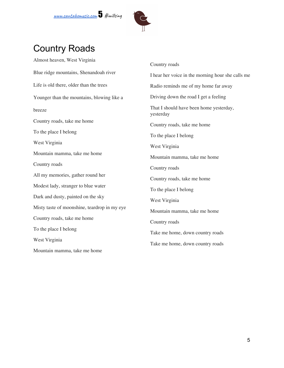[www.cantabomusic.com](http://www.cantabomusic.com/) 5 #iwillsing



## Country Roads

Almost heaven, West Virginia Blue ridge mountains, Shenandoah river Life is old there, older than the trees Younger than the mountains, blowing like a breeze Country roads, take me home To the place I belong West Virginia Mountain mamma, take me home Country roads All my memories, gather round her Modest lady, stranger to blue water Dark and dusty, painted on the sky Misty taste of moonshine, teardrop in my eye Country roads, take me home To the place I belong West Virginia Mountain mamma, take me home Country roads I hear her voice in the morning hour she calls me Radio reminds me of my home far away Driving down the road I get a feeling That I should have been home yesterday, yesterday Country roads, take me home To the place I belong West Virginia Mountain mamma, take me home Country roads Country roads, take me home To the place I belong West Virginia Mountain mamma, take me home Country roads Take me home, down country roads Take me home, down country roads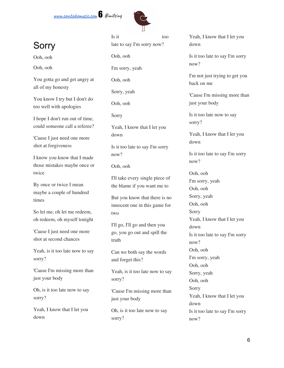#### [www.cantabomusic.com](http://www.cantabomusic.com/)  $\mathbf 6$  #iwillsing



### Sorry

Ooh, ooh

Ooh, ooh

You gotta go and get angry at all of my honesty

You know I try but I don't do too well with apologies

I hope I don't run out of time, could someone call a referee?

'Cause I just need one more shot at forgiveness

I know you know that I made those mistakes maybe once or twice

By once or twice I mean maybe a couple of hundred times

So let me, oh let me redeem, oh redeem, oh myself tonight

'Cause I just need one more shot at second chances

Yeah, is it too late now to say sorry?

'Cause I'm missing more than just your body

Oh, is it too late now to say sorry?

Yeah, I know that I let you down

Is it too late to say I'm sorry now? Ooh, ooh I'm sorry, yeah Ooh, ooh

Sorry, yeah

Ooh, ooh

Sorry

Yeah, I know that I let you down

Is it too late to say I'm sorry now?

Ooh, ooh

I'll take every single piece of the blame if you want me to

But you know that there is no innocent one in this game for two

I'll go, I'll go and then you go, you go out and spill the truth

Can we both say the words and forget this?

Yeah, is it too late now to say sorry?

'Cause I'm missing more than just your body

Oh, is it too late now to say sorry?

Yeah, I know that I let you down

Is it too late to say I'm sorry now?

I'm not just trying to get you back on me

'Cause I'm missing more than just your body

Is it too late now to say sorry?

Yeah, I know that I let you down

Is it too late to say I'm sorry now?

Ooh, ooh I'm sorry, yeah Ooh, ooh Sorry, yeah Ooh, ooh Sorry Yeah, I know that I let you down Is it too late to say I'm sorry now? Ooh, ooh I'm sorry, yeah Ooh, ooh Sorry, yeah Ooh, ooh Sorry Yeah, I know that I let you down Is it too late to say I'm sorry now?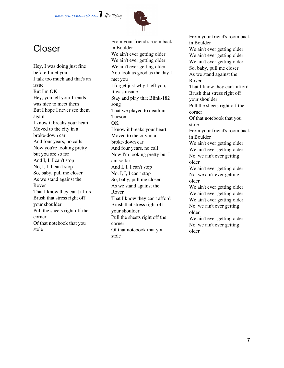

### Closer

Hey, I was doing just fine before I met you I talk too much and that's an issue But I'm OK Hey, you tell your friends it was nice to meet them But I hope I never see them again I know it breaks your heart Moved to the city in a broke-down car And four years, no calls Now you're looking pretty but you are so far And I, I, I can't stop No, I, I, I can't stop So, baby, pull me closer As we stand against the Rover That I know they can't afford Brush that stress right off your shoulder Pull the sheets right off the corner Of that notebook that you stole

From your friend's room back in Boulder We ain't ever getting older We ain't ever getting older We ain't ever getting older You look as good as the day I met you I forget just why I left you, It was insane Stay and play that Blink-182 song That we played to death in Tucson, **OK** I know it breaks your heart Moved to the city in a broke-down car And four years, no call Now I'm looking pretty but I am so far And I, I, I can't stop No, I, I, I can't stop So, baby, pull me closer As we stand against the Rover That I know they can't afford Brush that stress right off your shoulder Pull the sheets right off the corner Of that notebook that you stole

From your friend's room back in Boulder We ain't ever getting older We ain't ever getting older We ain't ever getting older So, baby, pull me closer As we stand against the Rover That I know they can't afford Brush that stress right off your shoulder Pull the sheets right off the corner Of that notebook that you stole From your friend's room back in Boulder We ain't ever getting older We ain't ever getting older No, we ain't ever getting older We ain't ever getting older No, we ain't ever getting older We ain't ever getting older We ain't ever getting older We ain't ever getting older No, we ain't ever getting older We ain't ever getting older No, we ain't ever getting older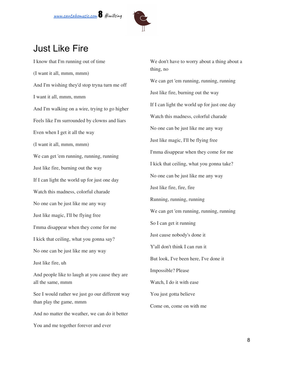[www.cantabomusic.com](http://www.cantabomusic.com/) 8 #iwillsing



### Just Like Fire

I know that I'm running out of time (I want it all, mmm, mmm) And I'm wishing they'd stop tryna turn me off I want it all, mmm, mmm And I'm walking on a wire, trying to go higher Feels like I'm surrounded by clowns and liars Even when I get it all the way (I want it all, mmm, mmm) We can get 'em running, running, running Just like fire, burning out the way If I can light the world up for just one day Watch this madness, colorful charade No one can be just like me any way Just like magic, I'll be flying free I'mma disappear when they come for me I kick that ceiling, what you gonna say? No one can be just like me any way Just like fire, uh And people like to laugh at you cause they are all the same, mmm See I would rather we just go our different way than play the game, mmm And no matter the weather, we can do it better You and me together forever and ever

We don't have to worry about a thing about a thing, no We can get 'em running, running, running Just like fire, burning out the way If I can light the world up for just one day Watch this madness, colorful charade No one can be just like me any way Just like magic, I'll be flying free I'mma disappear when they come for me I kick that ceiling, what you gonna take? No one can be just like me any way Just like fire, fire, fire Running, running, running We can get 'em running, running, running So I can get it running Just cause nobody's done it Y'all don't think I can run it But look, I've been here, I've done it Impossible? Please Watch, I do it with ease You just gotta believe Come on, come on with me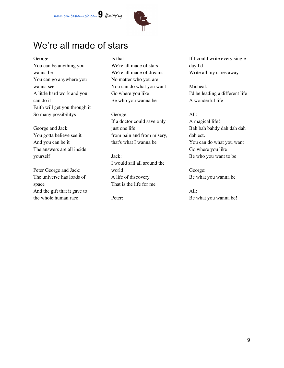### [www.cantabomusic.com](http://www.cantabomusic.com/) 9 #iwillsing



### We're all made of stars

George: You can be anything you wanna be You can go anywhere you wanna see A little hard work and you can do it Faith will get you through it So many possibilitys

George and Jack: You gotta believe see it And you can be it The answers are all inside yourself

Peter George and Jack: The universe has loads of space And the gift that it gave to the whole human race

#### Is that

We're all made of stars We're all made of dreams No matter who you are You can do what you want Go where you like Be who you wanna be

George: If a doctor could save only just one life from pain and from misery, that's what I wanna be

Jack: I would sail all around the world A life of discovery That is the life for me

Peter:

If I could write every single day I'd Write all my cares away

Micheal: I'd be leading a different life A wonderful life

All: A magical life! Bah bah bahdy dah dah dah dah ect. You can do what you want Go where you like Be who you want to be

George: Be what you wanna be

All: Be what you wanna be!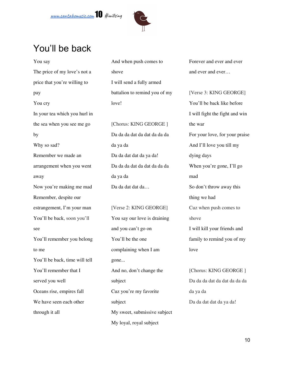#### [www.cantabomusic.com](http://www.cantabomusic.com/) 10 #iwillsing



### You'll be back

[You](https://genius.com/Lin-manuel-miranda-youll-be-back-lyrics#note-7977858) say The price of my [love's](https://genius.com/Lin-manuel-miranda-youll-be-back-lyrics#note-7851884) not a price that you're [willing](https://genius.com/Lin-manuel-miranda-youll-be-back-lyrics#note-7851884) to [pay](https://genius.com/Lin-manuel-miranda-youll-be-back-lyrics#note-7851884) [You](https://genius.com/Lin-manuel-miranda-youll-be-back-lyrics#note-7851884) cry In your tea [which](https://genius.com/Lin-manuel-miranda-youll-be-back-lyrics#note-7851884) you hurl in the sea [when](https://genius.com/Lin-manuel-miranda-youll-be-back-lyrics#note-7851884) you see me go [by](https://genius.com/Lin-manuel-miranda-youll-be-back-lyrics#note-7851884) [Why](https://genius.com/Lin-manuel-miranda-youll-be-back-lyrics#note-8055363) so sad? [Remember](https://genius.com/Lin-manuel-miranda-youll-be-back-lyrics#note-7909554) we made an [arrangement](https://genius.com/Lin-manuel-miranda-youll-be-back-lyrics#note-7909554) when you went [away](https://genius.com/Lin-manuel-miranda-youll-be-back-lyrics#note-7909554) Now you're [making](https://genius.com/Lin-manuel-miranda-youll-be-back-lyrics#note-7862578) me mad [Remember,](https://genius.com/Lin-manuel-miranda-youll-be-back-lyrics#note-7978020) despite our [estrangement,](https://genius.com/Lin-manuel-miranda-youll-be-back-lyrics#note-7978020) I'm your man [You'll](https://genius.com/Lin-manuel-miranda-youll-be-back-lyrics#note-8101267) be back, soon you'll [see](https://genius.com/Lin-manuel-miranda-youll-be-back-lyrics#note-8877685) You'll [remember](https://genius.com/Lin-manuel-miranda-youll-be-back-lyrics#note-7937874) you belong to [me](https://genius.com/Lin-manuel-miranda-youll-be-back-lyrics#note-7937874) [You'll](https://genius.com/Lin-manuel-miranda-youll-be-back-lyrics#note-8546995) be back, time will tell You'll [remember](https://genius.com/Lin-manuel-miranda-youll-be-back-lyrics#note-8546995) that I [served](https://genius.com/Lin-manuel-miranda-youll-be-back-lyrics#note-8546995) you well Oceans rise, [empires](https://genius.com/Lin-manuel-miranda-youll-be-back-lyrics#note-7901801) fall We have seen each [other](https://genius.com/Lin-manuel-miranda-youll-be-back-lyrics#note-7930455) [through](https://genius.com/Lin-manuel-miranda-youll-be-back-lyrics#note-7930455) it all

And when push [comes](https://genius.com/Lin-manuel-miranda-youll-be-back-lyrics#note-7998060) to [shove](https://genius.com/Lin-manuel-miranda-youll-be-back-lyrics#note-7998060) I will send a fully [armed](https://genius.com/Lin-manuel-miranda-youll-be-back-lyrics#note-8101344) [battalion](https://genius.com/Lin-manuel-miranda-youll-be-back-lyrics#note-8101344) to remind you of my [love!](https://genius.com/Lin-manuel-miranda-youll-be-back-lyrics#note-8101344)

[Chorus: KING GEORGE ] Da da da dat da [dat](https://genius.com/Lin-manuel-miranda-youll-be-back-lyrics#note-8524169) da da da [da](https://genius.com/Lin-manuel-miranda-youll-be-back-lyrics#note-8524169) ya da Da da dat dat da ya [da!](https://genius.com/Lin-manuel-miranda-youll-be-back-lyrics#note-8524169) Da da da dat da [dat](https://genius.com/Lin-manuel-miranda-youll-be-back-lyrics#note-8524169) da da da [da](https://genius.com/Lin-manuel-miranda-youll-be-back-lyrics#note-8524169) ya da Da da dat dat da...

[Verse 2: KING GEORGE] You say our love is [draining](https://genius.com/Lin-manuel-miranda-youll-be-back-lyrics#note-8518870) and you [can't](https://genius.com/Lin-manuel-miranda-youll-be-back-lyrics#note-8518870) go on [You'll](https://genius.com/Lin-manuel-miranda-youll-be-back-lyrics#note-8754309) be the one [complaining](https://genius.com/Lin-manuel-miranda-youll-be-back-lyrics#note-8754309) when I am [gone...](https://genius.com/Lin-manuel-miranda-youll-be-back-lyrics#note-8754309) And no, don't [change](https://genius.com/Lin-manuel-miranda-youll-be-back-lyrics#note-7904460) the [subject](https://genius.com/Lin-manuel-miranda-youll-be-back-lyrics#note-7904460) Cuz you're my [favorite](https://genius.com/Lin-manuel-miranda-youll-be-back-lyrics#note-7904460) [subject](https://genius.com/Lin-manuel-miranda-youll-be-back-lyrics#note-7904460) My sweet, [submissive](https://genius.com/Lin-manuel-miranda-youll-be-back-lyrics#note-7926893) subject My loyal, royal [subject](https://genius.com/Lin-manuel-miranda-youll-be-back-lyrics#note-7926893)

[Forever](https://genius.com/Lin-manuel-miranda-youll-be-back-lyrics#note-7921878) and ever and ever and ever and [ever…](https://genius.com/Lin-manuel-miranda-youll-be-back-lyrics#note-7921878)

[Verse 3: KING GEORGE] [You'll](https://genius.com/Lin-manuel-miranda-youll-be-back-lyrics#note-8708372) be back like before I will [fight](https://genius.com/Lin-manuel-miranda-youll-be-back-lyrics#note-8003076) the fight and win the [war](https://genius.com/Lin-manuel-miranda-youll-be-back-lyrics#note-8003076) For your love, for your [praise](https://genius.com/Lin-manuel-miranda-youll-be-back-lyrics#note-11318069) [And](https://genius.com/Lin-manuel-miranda-youll-be-back-lyrics#note-8754284) I'll love you till my [dying](https://genius.com/Lin-manuel-miranda-youll-be-back-lyrics#note-8754284) days When [you're](https://genius.com/Lin-manuel-miranda-youll-be-back-lyrics#note-7851748) gone, I'll go [mad](https://genius.com/Lin-manuel-miranda-youll-be-back-lyrics#note-7851748) So don't [throw](https://genius.com/Lin-manuel-miranda-youll-be-back-lyrics#note-7851748) away this [thing](https://genius.com/Lin-manuel-miranda-youll-be-back-lyrics#note-7851748) we had Cuz when push comes to shove I will kill your [friends](https://genius.com/Lin-manuel-miranda-youll-be-back-lyrics#note-7907667) and family to [remind](https://genius.com/Lin-manuel-miranda-youll-be-back-lyrics#note-7907667) you of my [love](https://genius.com/Lin-manuel-miranda-youll-be-back-lyrics#note-7907667)

[Chorus: KING GEORGE ] Da da da dat da dat da da da da ya da Da da dat dat da ya da!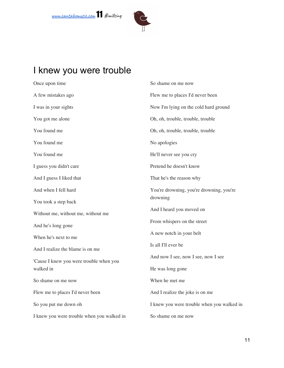

## I knew you were trouble

| Once upon time                             | So shame on me now                         |
|--------------------------------------------|--------------------------------------------|
| A few mistakes ago                         | Flew me to places I'd never been           |
| I was in your sights                       | Now I'm lying on the cold hard ground      |
| You got me alone                           | Oh, oh, trouble, trouble, trouble          |
| You found me                               | Oh, oh, trouble, trouble, trouble          |
| You found me                               | No apologies                               |
| You found me                               | He'll never see you cry                    |
| I guess you didn't care                    | Pretend he doesn't know                    |
| And I guess I liked that                   | That he's the reason why                   |
| And when I fell hard                       | You're drowning, you're drowning, you're   |
| You took a step back                       | drowning                                   |
| Without me, without me, without me         | And I heard you moved on                   |
| And he's long gone                         | From whispers on the street                |
| When he's next to me                       | A new notch in your belt                   |
| And I realize the blame is on me           | Is all I'll ever be                        |
| 'Cause I knew you were trouble when you    | And now I see, now I see, now I see        |
| walked in                                  | He was long gone                           |
| So shame on me now                         | When he met me                             |
| Flew me to places I'd never been           | And I realize the joke is on me            |
| So you put me down oh                      | I knew you were trouble when you walked in |
| I knew you were trouble when you walked in | So shame on me now                         |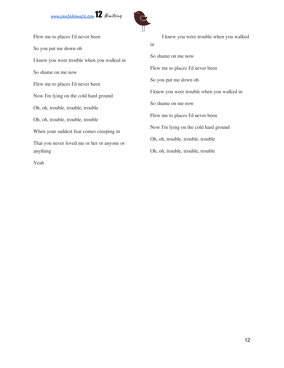[www.cantabomusic.com](http://www.cantabomusic.com/) 12 #iwillsing



Flew me to places I'd never been

So you put me down oh

I knew you were trouble when you walked in

So shame on me now

Flew me to places I'd never been

Now I'm lying on the cold hard ground

Oh, oh, trouble, trouble, trouble

Oh, oh, trouble, trouble, trouble

When your saddest fear comes creeping in

That you never loved me or her or anyone or anything

Yeah

I knew you were trouble when you walked in So shame on me now Flew me to places I'd never been So you put me down oh I knew you were trouble when you walked in So shame on me now Flew me to places I'd never been Now I'm lying on the cold hard ground Oh, oh, trouble, trouble, trouble

Oh, oh, trouble, trouble, trouble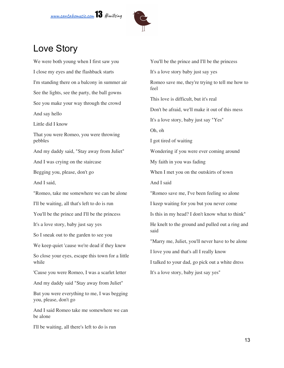#### [www.cantabomusic.com](http://www.cantabomusic.com/) 13 #iwillsing



### Love Story

We were both young when I first saw you I close my eyes and the flashback starts I'm standing there on a balcony in summer air See the lights, see the party, the ball gowns See you make your way through the crowd And say hello Little did I know That you were Romeo, you were throwing pebbles And my daddy said, "Stay away from Juliet" And I was crying on the staircase Begging you, please, don't go And I said, "Romeo, take me somewhere we can be alone I'll be waiting, all that's left to do is run You'll be the prince and I'll be the princess It's a love story, baby just say yes So I sneak out to the garden to see you We keep quiet 'cause we're dead if they knew So close your eyes, escape this town for a little while 'Cause you were Romeo, I was a scarlet letter And my daddy said "Stay away from Juliet" But you were everything to me, I was begging you, please, don't go And I said Romeo take me somewhere we can be alone

I'll be waiting, all there's left to do is run

You'll be the prince and I'll be the princess It's a love story baby just say yes Romeo save me, they're trying to tell me how to feel This love is difficult, but it's real Don't be afraid, we'll make it out of this mess It's a love story, baby just say "Yes" Oh, oh I got tired of waiting Wondering if you were ever coming around My faith in you was fading When I met you on the outskirts of town And I said "Romeo save me, I've been feeling so alone I keep waiting for you but you never come Is this in my head? I don't know what to think" He knelt to the ground and pulled out a ring and said "Marry me, Juliet, you'll never have to be alone I love you and that's all I really know I talked to your dad, go pick out a white dress It's a love story, baby just say yes"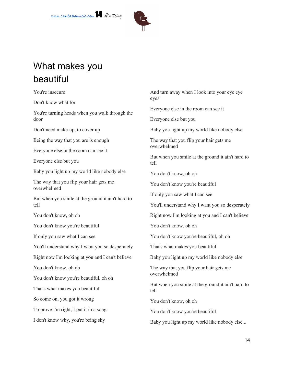

## What makes you beautiful

You're insecure

Don't know what for

You're turning heads when you walk through the door

Don't need make-up, to cover up

Being the way that you are is enough

Everyone else in the room can see it

Everyone else but you

Baby you light up my world like nobody else

The way that you flip your hair gets me overwhelmed

But when you smile at the ground it ain't hard to tell

You don't know, oh oh

You don't know you're beautiful

If only you saw what I can see

You'll understand why I want you so desperately

Right now I'm looking at you and I can't believe

You don't know, oh oh

You don't know you're beautiful, oh oh

That's what makes you beautiful

So come on, you got it wrong

To prove I'm right, I put it in a song

I don't know why, you're being shy

And turn away when I look into your eye eye eyes

Everyone else in the room can see it

Everyone else but you

Baby you light up my world like nobody else

The way that you flip your hair gets me overwhelmed

But when you smile at the ground it ain't hard to tell

You don't know, oh oh

You don't know you're beautiful

If only you saw what I can see

You'll understand why I want you so desperately

Right now I'm looking at you and I can't believe

You don't know, oh oh

You don't know you're beautiful, oh oh

That's what makes you beautiful

Baby you light up my world like nobody else

The way that you flip your hair gets me overwhelmed

But when you smile at the ground it ain't hard to tell

You don't know, oh oh

You don't know you're beautiful

Baby you light up my world like nobody else...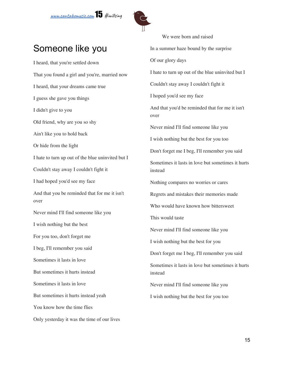



### Someone like you

I heard, that you're settled down That you found a girl and you're, married now I heard, that your dreams came true I guess she gave you things I didn't give to you Old friend, why are you so shy Ain't like you to hold back Or hide from the light I hate to turn up out of the blue uninvited but I Couldn't stay away I couldn't fight it I had hoped you'd see my face And that you be reminded that for me it isn't over Never mind I'll find someone like you I wish nothing but the best For you too, don't forget me I beg, I'll remember you said Sometimes it lasts in love But sometimes it hurts instead Sometimes it lasts in love But sometimes it hurts instead yeah You know how the time flies Only yesterday it was the time of our lives

We were born and raised In a summer haze bound by the surprise Of our glory days I hate to turn up out of the blue uninvited but I Couldn't stay away I couldn't fight it I hoped you'd see my face And that you'd be reminded that for me it isn't over Never mind I'll find someone like you I wish nothing but the best for you too Don't forget me I beg, I'll remember you said Sometimes it lasts in love but sometimes it hurts instead Nothing compares no worries or cares Regrets and mistakes their memories made Who would have known how bittersweet This would taste Never mind I'll find someone like you I wish nothing but the best for you Don't forget me I beg, I'll remember you said Sometimes it lasts in love but sometimes it hurts instead Never mind I'll find someone like you I wish nothing but the best for you too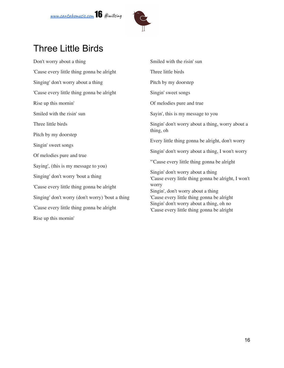#### [www.cantabomusic.com](http://www.cantabomusic.com/) 16 #iwillsing



### Three Little Birds

Don't worry about a thing 'Cause every little thing gonna be alright Singing' don't worry about a thing 'Cause every little thing gonna be alright Rise up this mornin' Smiled with the risin' sun Three little birds Pitch by my doorstep Singin' sweet songs Of melodies pure and true Saying', (this is my message to you) Singing' don't worry 'bout a thing 'Cause every little thing gonna be alright Singing' don't worry (don't worry) 'bout a thing 'Cause every little thing gonna be alright Rise up this mornin'

Smiled with the risin' sun Three little birds Pitch by my doorstep Singin' sweet songs Of melodies pure and true Sayin', this is my message to you Singin' don't worry about a thing, worry about a thing, oh Every little thing gonna be alright, don't worry Singin' don't worry about a thing, I won't worry "'Cause every little thing gonna be alright Singin' don't worry about a thing 'Cause every little thing gonna be alright, I won't worry Singin', don't worry about a thing 'Cause every little thing gonna be alright Singin' don't worry about a thing, oh no 'Cause every little thing gonna be alright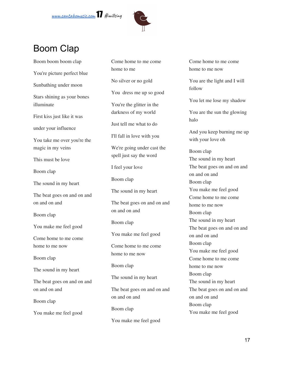[www.cantabomusic.com](http://www.cantabomusic.com/) 17 #iwillsing



## Boom Clap

Boom boom boom clap You're picture perfect blue Sunbathing under moon Stars shining as your bones illuminate First kiss just like it was under your influence You take me over you're the magic in my veins This must be love Boom clap The sound in my heart The beat goes on and on and on and on and Boom clap You make me feel good Come home to me come home to me now Boom clap The sound in my heart The beat goes on and on and on and on and Boom clap You make me feel good

Come home to me come home to me No silver or no gold You dress me up so good You're the glitter in the darkness of my world Just tell me what to do I'll fall in love with you We're going under cast the spell just say the word I feel your love Boom clap The sound in my heart The beat goes on and on and on and on and Boom clap You make me feel good Come home to me come home to me now Boom clap The sound in my heart The beat goes on and on and on and on and Boom clap You make me feel good

Come home to me come home to me now

You are the light and I will follow

You let me lose my shadow

You are the sun the glowing halo

And you keep burning me up with your love oh

Boom clap The sound in my heart The beat goes on and on and on and on and Boom clap You make me feel good Come home to me come home to me now Boom clap The sound in my heart The beat goes on and on and on and on and Boom clap You make me feel good Come home to me come home to me now Boom clap The sound in my heart The beat goes on and on and on and on and Boom clap You make me feel good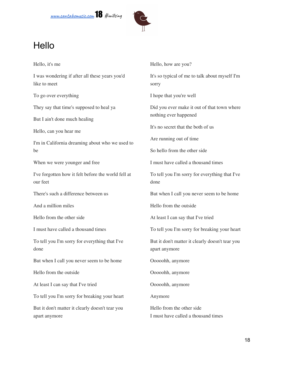

### Hello

Hello, it's me

I was wondering if after all these years you'd like to meet

To go over everything

They say that time's supposed to heal ya

But I ain't done much healing

Hello, can you hear me

I'm in California dreaming about who we used to be

When we were younger and free

I've forgotten how it felt before the world fell at our feet

There's such a difference between us

And a million miles

Hello from the other side

I must have called a thousand times

To tell you I'm sorry for everything that I've done

But when I call you never seem to be home

Hello from the outside

At least I can say that I've tried

To tell you I'm sorry for breaking your heart

But it don't matter it clearly doesn't tear you apart anymore

Hello, how are you?

It's so typical of me to talk about myself I'm sorry

I hope that you're well

Did you ever make it out of that town where nothing ever happened

It's no secret that the both of us

Are running out of time

So hello from the other side

I must have called a thousand times

To tell you I'm sorry for everything that I've done

But when I call you never seem to be home

Hello from the outside

At least I can say that I've tried

To tell you I'm sorry for breaking your heart

But it don't matter it clearly doesn't tear you apart anymore

Ooooohh, anymore

Ooooohh, anymore

Ooooohh, anymore

Anymore

Hello from the other side I must have called a thousand times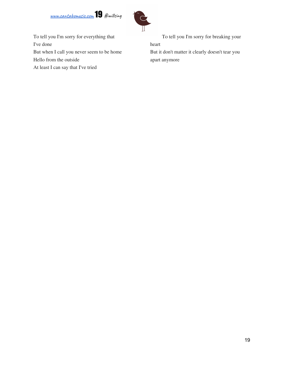



To tell you I'm sorry for everything that I've done But when I call you never seem to be home Hello from the outside At least I can say that I've tried

To tell you I'm sorry for breaking your heart

But it don't matter it clearly doesn't tear you apart anymore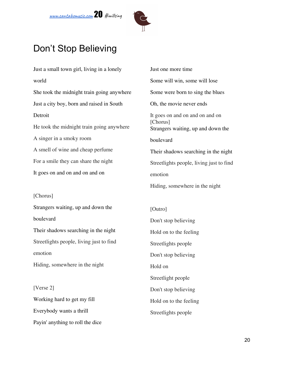



### Don't Stop Believing

Just a small town girl, [living in](https://genius.com/Journey-dont-stop-believin-lyrics#note-14199558) a lonely [world](https://genius.com/Journey-dont-stop-believin-lyrics#note-14199558) She took the midnight [train going](https://genius.com/Journey-dont-stop-believin-lyrics#note-14199558) anywhere Just a city boy, born and [raised in South](https://genius.com/Journey-dont-stop-believin-lyrics#note-328070) [Detroit](https://genius.com/Journey-dont-stop-believin-lyrics#note-328070) He took the midnight train going anywhere A singer in a smoky room A smell of wine and cheap perfume For a smile they can share the night It goes on and on and [on and on](https://genius.com/Journey-dont-stop-believin-lyrics#note-328079) [Just one more time](https://genius.com/Journey-dont-stop-believin-lyrics#note-14199554) [Chorus] [boulevard](https://genius.com/Journey-dont-stop-believin-lyrics#note-2002327) emotion

#### [Chorus]

Strangers waiting, up [and down](https://genius.com/Journey-dont-stop-believin-lyrics#note-2002327) the [boulevard](https://genius.com/Journey-dont-stop-believin-lyrics#note-2002327) Their shadows [searching](https://genius.com/Journey-dont-stop-believin-lyrics#note-2002327) in the night Streetlights people, living just to find emotion Hiding, somewhere in the night

[Verse 2] [Working](https://genius.com/Journey-dont-stop-believin-lyrics#note-11567500) hard to get my fill [Everybody](https://genius.com/Journey-dont-stop-believin-lyrics#note-11567500) wants a thrill

Payin' [anything](https://genius.com/Journey-dont-stop-believin-lyrics#note-14199554) to roll the dice

Some will [win, some](https://genius.com/Journey-dont-stop-believin-lyrics#note-14199542) will lose Some were [born to sing the blues](https://genius.com/Journey-dont-stop-believin-lyrics#note-14199542) [Oh, the movie never ends](https://genius.com/Journey-dont-stop-believin-lyrics#note-14350705) It goes on and on and on and on Strangers [waiting, up and down the](https://genius.com/Journey-dont-stop-believin-lyrics#note-2002327) Their shadows [searching in the night](https://genius.com/Journey-dont-stop-believin-lyrics#note-2002327) Streetlights people, living just to find Hiding, somewhere in the night

[Outro] Don't stop believing Hold on to the feeling Streetlights people Don't stop believing Hold on Streetlight people Don't stop believing Hold on to the feeling Streetlights people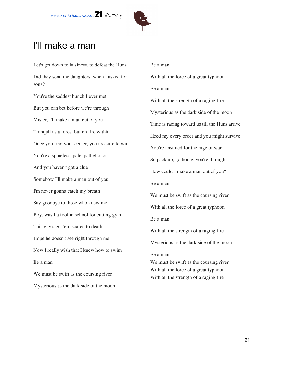



### I'll make a man

Let's get down to business, to defeat the Huns Did they send me daughters, when I asked for sons? You're the saddest bunch I ever met But you can bet before we're through Mister, I'll make a man out of you Tranquil as a forest but on fire within Once you find your center, you are sure to win You're a spineless, pale, pathetic lot And you haven't got a clue Somehow I'll make a man out of you I'm never gonna catch my breath Say goodbye to those who knew me Boy, was I a fool in school for cutting gym This guy's got 'em scared to death Hope he doesn't see right through me Now I really wish that I knew how to swim Be a man We must be swift as the coursing river Mysterious as the dark side of the moon

Be a man With all the force of a great typhoon Be a man With all the strength of a raging fire Mysterious as the dark side of the moon Time is racing toward us till the Huns arrive Heed my every order and you might survive You're unsuited for the rage of war So pack up, go home, you're through How could I make a man out of you? Be a man We must be swift as the coursing river With all the force of a great typhoon Be a man With all the strength of a raging fire Mysterious as the dark side of the moon Be a man We must be swift as the coursing river With all the force of a great typhoon With all the strength of a raging fire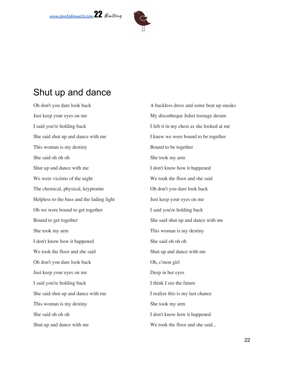

### Shut up and dance

Oh don't you dare look back Just keep your eyes on me I said you're holding back She said shut up and dance with me This woman is my destiny She said oh oh oh Shut up and dance with me We were victims of the night The chemical, physical, kryptonite Helpless to the bass and the fading light Oh we were bound to get together Bound to get together She took my arm I don't know how it happened We took the floor and she said Oh don't you dare look back Just keep your eyes on me I said you're holding back She said shut up and dance with me This woman is my destiny She said oh oh oh Shut up and dance with me

A backless dress and some beat up sneaks My discotheque Juliet teenage dream I felt it in my chest as she looked at me I knew we were bound to be together Bound to be together She took my arm I don't know how it happened We took the floor and she said Oh don't you dare look back Just keep your eyes on me I said you're holding back She said shut up and dance with me This woman is my destiny She said oh oh oh Shut up and dance with me Oh, c'mon girl Deep in her eyes I think I see the future I realize this is my last chance She took my arm I don't know how it happened We took the floor and she said...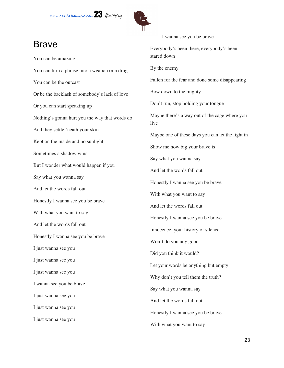#### [www.cantabomusic.com](http://www.cantabomusic.com/) 23 #iwillsing



### Brave

You can be amazing You can turn a phrase into a weapon or a drug You can be the outcast Or be the backlash of somebody's lack of love Or you can start speaking up Nothing's gonna hurt you the way that words do And they settle 'neath your skin Kept on the inside and no sunlight Sometimes a shadow wins But I wonder what would happen if you Say what you wanna say And let the words fall out Honestly I wanna see you be brave With what you want to say And let the words fall out Honestly I wanna see you be brave I just wanna see you I just wanna see you I just wanna see you I wanna see you be brave I just wanna see you I just wanna see you I just wanna see you

I wanna see you be brave Everybody's been there, everybody's been stared down By the enemy Fallen for the fear and done some disappearing Bow down to the mighty Don't run, stop holding your tongue Maybe there's a way out of the cage where you live Maybe one of these days you can let the light in Show me how big your brave is Say what you wanna say And let the words fall out Honestly I wanna see you be brave With what you want to say And let the words fall out Honestly I wanna see you be brave Innocence, your history of silence Won't do you any good Did you think it would? Let your words be anything but empty Why don't you tell them the truth? Say what you wanna say And let the words fall out Honestly I wanna see you be brave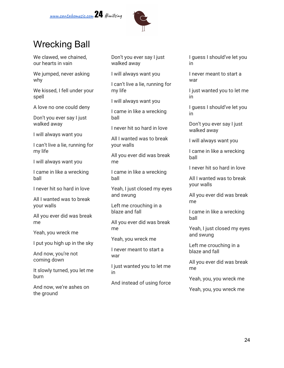### [www.cantabomusic.com](http://www.cantabomusic.com/) 24 #iwillsing



### Wrecking Ball

We clawed, we chained, our hearts in vain

We jumped, never asking why

We kissed, I fell under your spell

A love no one could deny

Don't you ever say I just walked away

I will always want you

I can't live a lie, running for my life

I will always want you

I came in like a wrecking ball

I never hit so hard in love

All I wanted was to break your walls

All you ever did was break me

Yeah, you wreck me

I put you high up in the sky

And now, you're not coming down

It slowly turned, you let me burn

And now, we're ashes on the ground

Don't you ever say I just walked away

I will always want you

I can't live a lie, running for my life

I will always want you

I came in like a wrecking ball

I never hit so hard in love

All I wanted was to break your walls

All you ever did was break me

I came in like a wrecking ball

Yeah, I just closed my eyes and swung

Left me crouching in a blaze and fall

All you ever did was break me

Yeah, you wreck me

I never meant to start a war

I just wanted you to let me in

And instead of using force

I guess I should've let you in

I never meant to start a war

I just wanted you to let me in

I guess I should've let you in

Don't you ever say I just walked away

I will always want you

I came in like a wrecking ball

I never hit so hard in love

All I wanted was to break your walls

All you ever did was break me

I came in like a wrecking ball

Yeah, I just closed my eyes and swung

Left me crouching in a blaze and fall

All you ever did was break me

Yeah, you, you wreck me

Yeah, you, you wreck me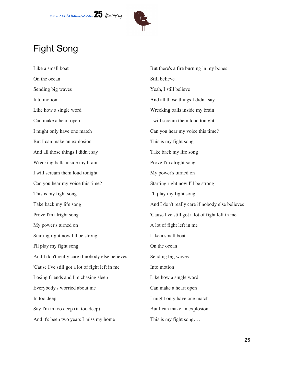#### [www.cantabomusic.com](http://www.cantabomusic.com/) 25 #iwillsing



## Fight Song

Like a small boat On the ocean Sending big waves Into motion Like how a single word Can make a heart open I might only have one match But I can make an explosion And all those things I didn't say Wrecking balls inside my brain I will scream them loud tonight Can you hear my voice this time? This is my fight song Take back my life song Prove I'm alright song My power's turned on Starting right now I'll be strong I'll play my fight song And I don't really care if nobody else believes 'Cause I've still got a lot of fight left in me Losing friends and I'm chasing sleep Everybody's worried about me In too deep Say I'm in too deep (in too deep) And it's been two years I miss my home

But there's a fire burning in my bones Still believe Yeah, I still believe And all those things I didn't say Wrecking balls inside my brain I will scream them loud tonight Can you hear my voice this time? This is my fight song Take back my life song Prove I'm alright song My power's turned on Starting right now I'll be strong I'll play my fight song And I don't really care if nobody else believes 'Cause I've still got a lot of fight left in me A lot of fight left in me Like a small boat On the ocean Sending big waves Into motion Like how a single word Can make a heart open I might only have one match But I can make an explosion This is my fight song….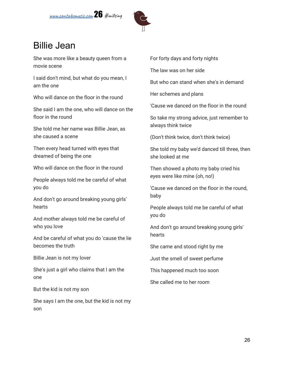### [www.cantabomusic.com](http://www.cantabomusic.com/) 26 #iwillsing



### Billie Jean

She was more like a beauty queen from a movie scene

I said don't mind, but what do you mean, I am the one

Who will dance on the floor in the round

She said I am the one, who will dance on the floor in the round

She told me her name was Billie Jean, as she caused a scene

Then every head turned with eyes that dreamed of being the one

Who will dance on the floor in the round

People always told me be careful of what you do

And don't go around breaking young girls' hearts

And mother always told me be careful of who you love

And be careful of what you do 'cause the lie becomes the truth

Billie Jean is not my lover

She's just a girl who claims that I am the one

But the kid is not my son

She says I am the one, but the kid is not my son

For forty days and forty nights

The law was on her side

But who can stand when she's in demand

Her schemes and plans

'Cause we danced on the floor in the round

So take my strong advice, just remember to always think twice

(Don't think twice, don't think twice)

She told my baby we'd danced till three, then she looked at me

Then showed a photo my baby cried his eyes were like mine (oh, no!)

'Cause we danced on the floor in the round, baby

People always told me be careful of what you do

And don't go around breaking young girls' hearts

She came and stood right by me

Just the smell of sweet perfume

This happened much too soon

She called me to her room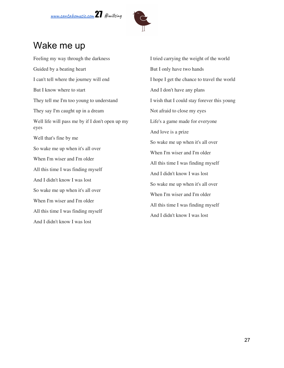### [www.cantabomusic.com](http://www.cantabomusic.com/) 27 #iwillsing



### Wake me up

Feeling my way through the darkness Guided by a beating heart I can't tell where the journey will end But I know where to start They tell me I'm too young to understand They say I'm caught up in a dream Well life will pass me by if I don't open up my eyes Well that's fine by me So wake me up when it's all over When I'm wiser and I'm older All this time I was finding myself And I didn't know I was lost So wake me up when it's all over When I'm wiser and I'm older All this time I was finding myself And I didn't know I was lost

I tried carrying the weight of the world But I only have two hands I hope I get the chance to travel the world And I don't have any plans I wish that I could stay forever this young Not afraid to close my eyes Life's a game made for everyone And love is a prize So wake me up when it's all over When I'm wiser and I'm older All this time I was finding myself And I didn't know I was lost So wake me up when it's all over When I'm wiser and I'm older All this time I was finding myself And I didn't know I was lost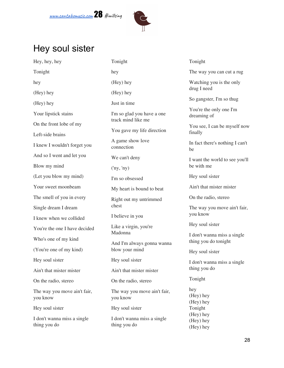# [www.cantabomusic.com](http://www.cantabomusic.com/) 28 #iwillsing



## Hey soul sister

| Hey, hey, hey                               | Tonight                                          | Tonight                                             |
|---------------------------------------------|--------------------------------------------------|-----------------------------------------------------|
| Tonight                                     | hey                                              | The way you can cut a rug                           |
| hey                                         | (Hey) hey                                        | Watching you is the only                            |
| (Hey) hey                                   | (Hey) hey                                        | drug I need                                         |
| (Hey) hey                                   | Just in time                                     | So gangster, I'm so thug                            |
| Your lipstick stains                        | I'm so glad you have a one<br>track mind like me | You're the only one I'm<br>dreaming of              |
| On the front lobe of my                     |                                                  | You see, I can be myself now<br>finally             |
| Left-side brains                            | You gave my life direction                       |                                                     |
| I knew I wouldn't forget you                | A game show love<br>connection                   | In fact there's nothing I can't<br>be               |
| And so I went and let you                   | We can't deny                                    | I want the world to see you'll                      |
| Blow my mind                                | $($ 'ny, 'ny)                                    | be with me                                          |
| (Let you blow my mind)                      | I'm so obsessed                                  | Hey soul sister                                     |
| Your sweet moonbeam                         | My heart is bound to beat                        | Ain't that mister mister                            |
| The smell of you in every                   | Right out my untrimmed                           | On the radio, stereo                                |
| Single dream I dream                        | chest                                            | The way you move ain't fair,                        |
| I knew when we collided                     | I believe in you                                 | you know                                            |
| You're the one I have decided               | Like a virgin, you're                            | Hey soul sister                                     |
| Who's one of my kind                        | Madonna<br>And I'm always gonna wanna            | I don't wanna miss a single<br>thing you do tonight |
| (You're one of my kind)                     | blow your mind                                   | Hey soul sister                                     |
| Hey soul sister                             | Hey soul sister                                  | I don't wanna miss a single                         |
| Ain't that mister mister                    | Ain't that mister mister                         | thing you do                                        |
| On the radio, stereo                        | On the radio, stereo                             | Tonight                                             |
| The way you move ain't fair,<br>you know    | The way you move ain't fair,<br>you know         | hey<br>(Hey) hey<br>(Hey) hey                       |
| Hey soul sister                             | Hey soul sister                                  | Tonight                                             |
| I don't wanna miss a single<br>thing you do | I don't wanna miss a single<br>thing you do      | (Hey) hey<br>(Hey) hey<br>(Hey) hey                 |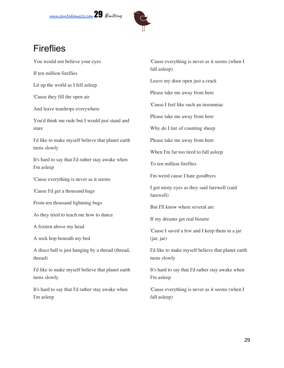### [www.cantabomusic.com](http://www.cantabomusic.com/) 29 #iwillsing



### **Fireflies**

You would not believe your eyes

If ten million fireflies

Lit up the world as I fell asleep

'Cause they fill the open air

And leave teardrops everywhere

You'd think me rude but I would just stand and stare

I'd like to make myself believe that planet earth turns slowly

It's hard to say that I'd rather stay awake when I'm asleep

'Cause everything is never as it seems

'Cause I'd get a thousand hugs

From ten thousand lightning bugs

As they tried to teach me how to dance

A foxtrot above my head

A sock hop beneath my bed

A disco ball is just hanging by a thread (thread, thread)

I'd like to make myself believe that planet earth turns slowly

It's hard to say that I'd rather stay awake when I'm asleep

'Cause everything is never as it seems (when I fall asleep)

Leave my door open just a crack

Please take me away from here

'Cause I feel like such an insomniac

Please take me away from here

Why do I tire of counting sheep

Please take me away from here

When I'm far too tired to fall asleep

To ten million fireflies

I'm weird cause I hate goodbyes

I got misty eyes as they said farewell (said farewell)

But I'll know where several are

If my dreams get real bizarre

'Cause I saved a few and I keep them in a jar (jar, jar)

I'd like to make myself believe that planet earth turns slowly

It's hard to say that I'd rather stay awake when I'm asleep

'Cause everything is never as it seems (when I fall asleep)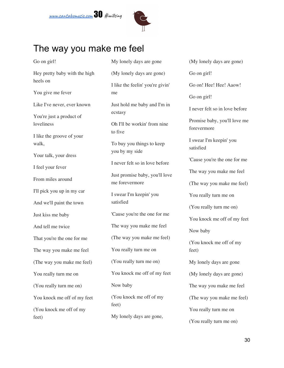### [www.cantabomusic.com](http://www.cantabomusic.com/) 30 #iwillsing



### The way you make me feel

| Go on girl!                               |
|-------------------------------------------|
| Hey pretty baby with the high<br>heels on |
| You give me fever                         |
| Like I've never, ever known               |
| You're just a product of<br>loveliness    |
| I like the groove of your<br>walk,        |
| Your talk, your dress                     |
| I feel your fever                         |
| From miles around                         |
| I'll pick you up in my car                |
| And we'll paint the town                  |
| Just kiss me baby                         |
| And tell me twice                         |
| That you're the one for me                |
| The way you make me feel                  |
| (The way you make me feel)                |
| You really turn me on                     |
| (You really turn me on)                   |
| You knock me off of my feet               |
| (You knock me off of my<br>feet)          |

| My lonely days are gone                          |
|--------------------------------------------------|
| (My lonely days are gone)                        |
| I like the feelin' you're givin'<br>me           |
| Just hold me baby and I'm in<br>ecstasy          |
| Oh I'll be workin' from nine<br>to five          |
| To buy you things to keep<br>you by my side      |
| I never felt so in love before                   |
| Just promise baby, you'll love<br>me forevermore |
| I swear I'm keepin' you<br>satisfied             |
| 'Cause you're the one for me                     |
| The way you make me feel                         |
| (The way you make me feel)                       |
| You really turn me on                            |
| (You really turn me on)                          |
| You knock me off of my feet                      |
| Now baby                                         |
| (You knock me off of my<br>feet)                 |
| My lonely days are gone,                         |

(My lonely days are gone) Go on girl! Go on! Hee! Hee! Aaow! Go on girl! I never felt so in love before Promise baby, you'll love me forevermore I swear I'm keepin' you satisfied 'Cause you're the one for me The way you make me feel (The way you make me feel) You really turn me on (You really turn me on) You knock me off of my feet Now baby (You knock me off of my feet) My lonely days are gone (My lonely days are gone) The way you make me feel (The way you make me feel) You really turn me on (You really turn me on)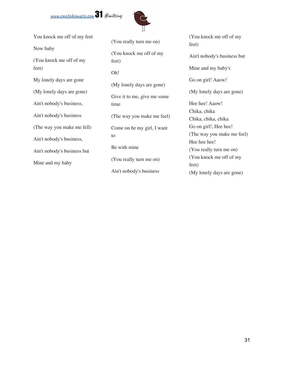[www.cantabomusic.com](http://www.cantabomusic.com/) 31 #iwillsing



You knock me off of my feet Now baby (You knock me off of my feet) My lonely days are gone (My lonely days are gone) Ain't nobody's business, Ain't nobody's business (The way you make me fell) Ain't nobody's business, Ain't nobody's business but Mine and my baby

(You really turn me on) (You knock me off of my feet) Oh! (My lonely days are gone) Give it to me, give me some time (The way you make me feel) Come on be my girl, I want to Be with mine (You really turn me on) Ain't nobody's business

(You knock me off of my feet) Ain't nobody's business but Mine and my baby's Go on girl! Aaow! (My lonely days are gone)

Hee hee! Aaow! Chika, chika Chika, chika, chika Go on girl!, Hee hee! (The way you make me feel) Hee hee! (You really turn me on) (You knock me off of my feet) (My lonely days are gone)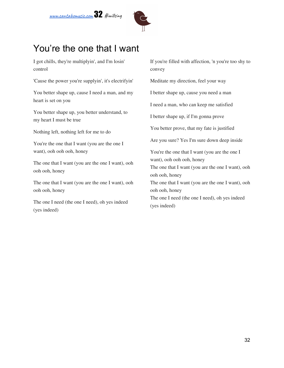### [www.cantabomusic.com](http://www.cantabomusic.com/) 32 #iwillsing



### You're the one that I want

I got chills, they're multiplyin', and I'm losin' control

'Cause the power you're supplyin', it's electrifyin'

You better shape up, cause I need a man, and my heart is set on you

You better shape up, you better understand, to my heart I must be true

Nothing left, nothing left for me to do

You're the one that I want (you are the one I want), ooh ooh ooh, honey

The one that I want (you are the one I want), ooh ooh ooh, honey

The one that I want (you are the one I want), ooh ooh ooh, honey

The one I need (the one I need), oh yes indeed (yes indeed)

If you're filled with affection, 'n you're too shy to convey

Meditate my direction, feel your way

I better shape up, cause you need a man

I need a man, who can keep me satisfied

I better shape up, if I'm gonna prove

You better prove, that my fate is justified

Are you sure? Yes I'm sure down deep inside

You're the one that I want (you are the one I want), ooh ooh ooh, honey

The one that I want (you are the one I want), ooh ooh ooh, honey

The one that I want (you are the one I want), ooh ooh ooh, honey

The one I need (the one I need), oh yes indeed (yes indeed)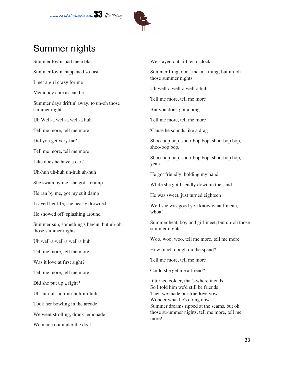[www.cantabomusic.com](http://www.cantabomusic.com/) 33 #iwillsing



## Summer nights

Summer lovin' had me a blast Summer lovin' happened so fast I met a girl crazy for me Met a boy cute as can be Summer days driftin' away, to uh-oh those summer nights Uh Well-a well-a well-a huh Tell me more, tell me more Did you get very far? Tell me more, tell me more Like does he have a car? Uh-huh uh-huh uh-huh uh-huh She swam by me, she got a cramp He ran by me, got my suit damp I saved her life, she nearly drowned He showed off, splashing around Summer sun, something's begun, but uh-oh those summer nights Uh well-a well-a well-a huh Tell me more, tell me more Was it love at first sight? Tell me more, tell me more Did she put up a fight? Uh-huh-uh-huh-uh-huh-uh-huh Took her bowling in the arcade We went strolling, drank lemonade We made out under the dock

We stayed out 'till ten o'clock

Summer fling, don't mean a thing, but uh-oh those summer nights

Uh well-a well-a well-a huh

Tell me more, tell me more

But you don't gotta brag

Tell me more, tell me more

'Cause he sounds like a drag

Shoo-bop bop, shoo-bop bop, shoo-bop bop, shoo-bop bop,

Shoo-bop bop, shoo-bop bop, shoo-bop bop, yeah

He got friendly, holding my hand

While she got friendly down in the sand

He was sweet, just turned eighteen

Well she was good you know what I mean, whoa!

Summer heat, boy and girl meet, but uh-oh those summer nights

Woo, woo, woo, tell me more, tell me more

How much dough did he spend?

Tell me more, tell me more

Could she get me a friend?

It turned colder, that's where it ends So I told him we'd still be friends Then we made our true love vow Wonder what he's doing now Summer dreams ripped at the seams, but oh those su-ummer nights, tell me more, tell me more!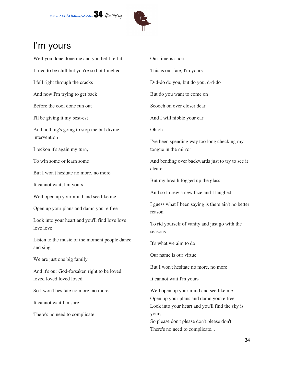### [www.cantabomusic.com](http://www.cantabomusic.com/) 34 #iwillsing



### I'm yours

Well you done done me and you bet I felt it I tried to be chill but you're so hot I melted I fell right through the cracks And now I'm trying to get back Before the cool done run out I'll be giving it my best-est And nothing's going to stop me but divine intervention I reckon it's again my turn, To win some or learn some But I won't hesitate no more, no more It cannot wait, I'm yours Well open up your mind and see like me Open up your plans and damn you're free Look into your heart and you'll find love love love love Listen to the music of the moment people dance and sing We are just one big family And it's our God-forsaken right to be loved loved loved loved loved So I won't hesitate no more, no more It cannot wait I'm sure There's no need to complicate

Our time is short This is our fate, I'm yours D-d-do do you, but do you, d-d-do But do you want to come on Scooch on over closer dear And I will nibble your ear Oh oh I've been spending way too long checking my tongue in the mirror And bending over backwards just to try to see it clearer But my breath fogged up the glass And so I drew a new face and I laughed I guess what I been saying is there ain't no better reason To rid yourself of vanity and just go with the seasons It's what we aim to do Our name is our virtue But I won't hesitate no more, no more It cannot wait I'm yours Well open up your mind and see like me Open up your plans and damn you're free Look into your heart and you'll find the sky is yours So please don't please don't please don't There's no need to complicate...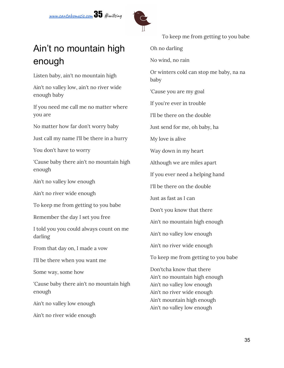



## Ain't no mountain high enough

Listen baby, ain't no mountain high

Ain't no valley low, ain't no river wide enough baby

If you need me call me no matter where you are

No matter how far don't worry baby

Just call my name I'll be there in a hurry

You don't have to worry

'Cause baby there ain't no mountain high enough

Ain't no valley low enough

Ain't no river wide enough

To keep me from getting to you babe

Remember the day I set you free

I told you you could always count on me darling

From that day on, I made a vow

I'll be there when you want me

Some way, some how

'Cause baby there ain't no mountain high enough

Ain't no valley low enough

Ain't no river wide enough

To keep me from getting to you babe

Oh no darling

No wind, no rain

Or winters cold can stop me baby, na na baby

'Cause you are my goal

If you're ever in trouble

I'll be there on the double

Just send for me, oh baby, ha

My love is alive

Way down in my heart

Although we are miles apart

If you ever need a helping hand

I'll be there on the double

Just as fast as I can

Don't you know that there

Ain't no mountain high enough

Ain't no valley low enough

Ain't no river wide enough

To keep me from getting to you babe

Don'tcha know that there Ain't no mountain high enough Ain't no valley low enough Ain't no river wide enough Ain't mountain high enough Ain't no valley low enough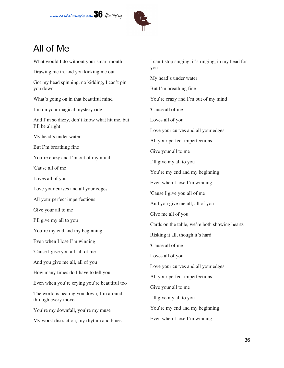[www.cantabomusic.com](http://www.cantabomusic.com/) 36 #iwillsing



## All of Me

What would I do without your smart mouth Drawing me in, and you kicking me out Got my head spinning, no kidding, I can't pin you down What's going on in that beautiful mind I'm on your magical mystery ride And I'm so dizzy, don't know what hit me, but I'll be alright My head's under water But I'm breathing fine You're crazy and I'm out of my mind 'Cause all of me Loves all of you Love your curves and all your edges All your perfect imperfections Give your all to me I'll give my all to you You're my end and my beginning Even when I lose I'm winning 'Cause I give you all, all of me And you give me all, all of you How many times do I have to tell you Even when you're crying you're beautiful too The world is beating you down, I'm around through every move You're my downfall, you're my muse My worst distraction, my rhythm and blues

I can't stop singing, it's ringing, in my head for you My head's under water But I'm breathing fine You're crazy and I'm out of my mind 'Cause all of me Loves all of you Love your curves and all your edges All your perfect imperfections Give your all to me I'll give my all to you You're my end and my beginning Even when I lose I'm winning 'Cause I give you all of me And you give me all, all of you Give me all of you Cards on the table, we're both showing hearts Risking it all, though it's hard 'Cause all of me Loves all of you Love your curves and all your edges All your perfect imperfections Give your all to me I'll give my all to you You're my end and my beginning Even when I lose I'm winning...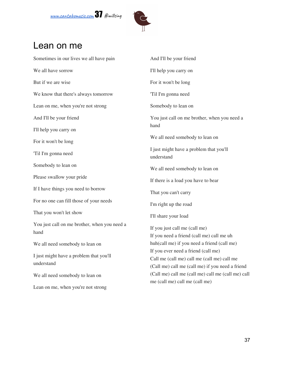# [www.cantabomusic.com](http://www.cantabomusic.com/) 37 #iwillsing



### Lean on me

| Sometimes in our lives we all have pain               | And I'll be your friend                                                                                                                |
|-------------------------------------------------------|----------------------------------------------------------------------------------------------------------------------------------------|
| We all have sorrow                                    | I'll help you carry on                                                                                                                 |
| But if we are wise                                    | For it won't be long                                                                                                                   |
| We know that there's always tomorrow                  | 'Til I'm gonna need                                                                                                                    |
| Lean on me, when you're not strong                    | Somebody to lean on                                                                                                                    |
| And I'll be your friend                               | You just call on me brother, when you need a                                                                                           |
| I'll help you carry on                                | hand                                                                                                                                   |
| For it won't be long                                  | We all need somebody to lean on                                                                                                        |
| 'Til I'm gonna need                                   | I just might have a problem that you'll<br>understand                                                                                  |
| Somebody to lean on                                   | We all need somebody to lean on                                                                                                        |
| Please swallow your pride                             | If there is a load you have to bear                                                                                                    |
| If I have things you need to borrow                   | That you can't carry                                                                                                                   |
| For no one can fill those of your needs               | I'm right up the road                                                                                                                  |
| That you won't let show                               | I'll share your load                                                                                                                   |
| You just call on me brother, when you need a<br>hand  | If you just call me (call me)<br>If you need a friend (call me) call me uh                                                             |
| We all need somebody to lean on                       | huh(call me) if you need a friend (call me)                                                                                            |
| I just might have a problem that you'll<br>understand | If you ever need a friend (call me)<br>Call me (call me) call me (call me) call me<br>(Call me) call me (call me) if you need a friend |
| We all need somebody to lean on                       | (Call me) call me (call me) call me (call me) call<br>me (call me) call me (call me)                                                   |
| Lean on me, when you're not strong                    |                                                                                                                                        |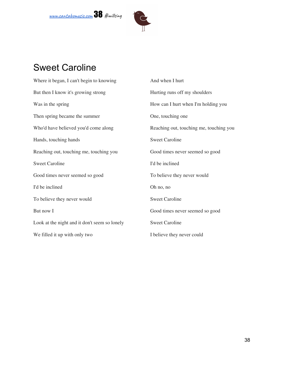[www.cantabomusic.com](http://www.cantabomusic.com/) 38 #iwillsing



## Sweet Caroline

| Where it began, I can't begin to knowing      | And when I hurt                         |
|-----------------------------------------------|-----------------------------------------|
| But then I know it's growing strong           | Hurting runs off my shoulders           |
| Was in the spring                             | How can I hurt when I'm holding you     |
| Then spring became the summer                 | One, touching one                       |
| Who'd have believed you'd come along          | Reaching out, touching me, touching you |
| Hands, touching hands                         | <b>Sweet Caroline</b>                   |
| Reaching out, touching me, touching you       | Good times never seemed so good         |
| <b>Sweet Caroline</b>                         | I'd be inclined                         |
| Good times never seemed so good               | To believe they never would             |
| I'd be inclined                               | Oh no, no                               |
| To believe they never would                   | <b>Sweet Caroline</b>                   |
| But now I                                     | Good times never seemed so good         |
| Look at the night and it don't seem so lonely | <b>Sweet Caroline</b>                   |
| We filled it up with only two                 | I believe they never could              |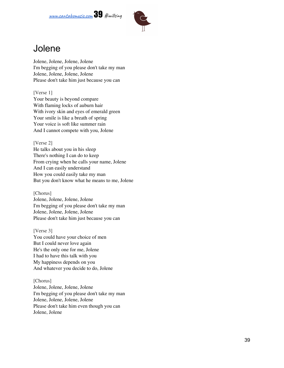### <u>ww[w.c](http://www.cantabomusic.com/)antabomusic.com</u> 39 #iwillsing



### Jolene

J[o](https://genius.com/Dolly-parton-jolene-lyrics#note-2150095)lene, Jolene, Jolene [I'm](https://genius.com/Dolly-parton-jolene-lyrics#note-4848885) begging of you please don't take my man J[o](https://genius.com/Dolly-parton-jolene-lyrics#note-5072254)lene, Jolene, Jolene Please do[n't](https://genius.com/Dolly-parton-jolene-lyrics#note-5072254) take him just because you can

[Verse 1] Your beauty is beyond co[m](https://genius.com/Dolly-parton-jolene-lyrics#note-4849589)pare [W](https://genius.com/Dolly-parton-jolene-lyrics#note-4849589)ith flaming locks of auburn hair [W](https://genius.com/Dolly-parton-jolene-lyrics#note-4849589)ith ivory skin and eyes of emerald green Your s[m](https://genius.com/Dolly-parton-jolene-lyrics#note-4434123)ile is like a breath of spring Your voice is soft like su[m](https://genius.com/Dolly-parton-jolene-lyrics#note-4434123)mer rain And I cannot co[m](https://genius.com/Dolly-parton-jolene-lyrics#note-3137795)pete with you, Jolene

[Verse 2] [H](https://genius.com/Dolly-parton-jolene-lyrics#note-3401341)e talks about you in his sleep Ther[e's](https://genius.com/Dolly-parton-jolene-lyrics#note-3401341) nothing I can do to keep Fro[m](https://genius.com/Dolly-parton-jolene-lyrics#note-3401341) crying when he calls your name, Jolene [A](https://genius.com/Dolly-parton-jolene-lyrics#note-4436153)nd I can easily understand H o w y o u c o u l d e a s i l y t a k e [m](https://genius.com/Dolly-parton-jolene-lyrics#note-4436153) y m a n But you do[n't](https://genius.com/Dolly-parton-jolene-lyrics#note-11678290) know what he means to me, Jolene

[Chorus] J[o](https://genius.com/Dolly-parton-jolene-lyrics#note-3137798)lene, Jolene, Jolene [I'm](https://genius.com/Dolly-parton-jolene-lyrics#note-4436142) begging of you please don't take my man J[o](https://genius.com/Dolly-parton-jolene-lyrics#note-4436142)lene, Jolene, Jolene Please do[n't](https://genius.com/Dolly-parton-jolene-lyrics#note-4436142) take him just because you can

[Verse 3] You could have your choice of [m](https://genius.com/Dolly-parton-jolene-lyrics#note-4436131)en [B](https://genius.com/Dolly-parton-jolene-lyrics#note-4436131)ut I could never love again H[e's](https://genius.com/Dolly-parton-jolene-lyrics#note-4436131) the only one for me, Jolene I had to have this talk [w](https://genius.com/Dolly-parton-jolene-lyrics#note-2700791)ith you [M](https://genius.com/Dolly-parton-jolene-lyrics#note-2700791)y happiness depends on you [A](https://genius.com/Dolly-parton-jolene-lyrics#note-2700791)nd whatever you decide to do, Jolene

[Chorus] J[o](https://genius.com/Dolly-parton-jolene-lyrics#note-4436124)lene, Jolene, Jolene [I'm](https://genius.com/Dolly-parton-jolene-lyrics#note-4436124) begging of you please don't take my man J[o](https://genius.com/Dolly-parton-jolene-lyrics#note-4436124)lene, Jolene, Jolene Please do[n't](https://genius.com/Dolly-parton-jolene-lyrics#note-4436124) take him even though you can J[o](https://genius.com/Dolly-parton-jolene-lyrics#note-4436124)lene, Jolene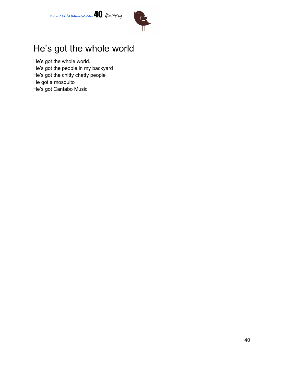



## He's got the whole world

He's got the whole world.. He's got the people in my backyard He's got the chitty chatty people He got a mosquito He's got Cantabo Music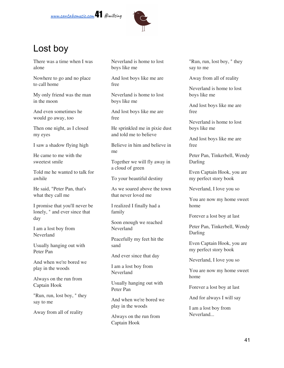#### [www.cantabomusic.com](http://www.cantabomusic.com/) 41 #iwillsing



### Lost boy

There was a time when I was alone

Nowhere to go and no place to call home

My only friend was the man in the moon

And even sometimes he would go away, too

Then one night, as I closed my eyes

I saw a shadow flying high

He came to me with the sweetest smile

Told me he wanted to talk for awhile

He said, "Peter Pan, that's what they call me

I promise that you'll never be lonely, " and ever since that day

I am a lost boy from Neverland

Usually hanging out with Peter Pan

And when we're bored we play in the woods

Always on the run from Captain Hook

"Run, run, lost boy, " they say to me

Away from all of reality

Neverland is home to lost boys like me

And lost boys like me are free

Neverland is home to lost boys like me

And lost boys like me are free

He sprinkled me in pixie dust and told me to believe

Believe in him and believe in me

Together we will fly away in a cloud of green

To your beautiful destiny

As we soared above the town that never loved me

I realized I finally had a family

Soon enough we reached Neverland

Peacefully my feet hit the sand

And ever since that day

I am a lost boy from Neverland

Usually hanging out with Peter Pan

And when we're bored we play in the woods

Always on the run from Captain Hook

"Run, run, lost boy, " they say to me

Away from all of reality

Neverland is home to lost boys like me

And lost boys like me are free

Neverland is home to lost boys like me

And lost boys like me are free

Peter Pan, Tinkerbell, Wendy Darling

Even Captain Hook, you are my perfect story book

Neverland, I love you so

You are now my home sweet home

Forever a lost boy at last

Peter Pan, Tinkerbell, Wendy Darling

Even Captain Hook, you are my perfect story book

Neverland, I love you so

You are now my home sweet home

Forever a lost boy at last

And for always I will say

I am a lost boy from Neverland...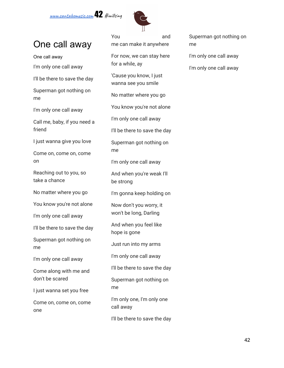



me

on

me

one

One call away I'm only one call away I'll be there to save the day Superman got nothing on I'm only one call away Call me, baby, if you need a friend I just wanna give you love Come on, come on, come Reaching out to you, so take a chance No matter where you go You know you're not alone I'm only one call away I'll be there to save the day Superman got nothing on I'm only one call away Come along with me and don't be scared I just wanna set you free Come on, come on, come me me



You and me can make it anywhere

For now, we can stay here for a while, ay

'Cause you know, I just wanna see you smile

No matter where you go

You know you're not alone

I'm only one call away

I'll be there to save the day

Superman got nothing on

I'm only one call away

And when you're weak I'll be strong

I'm gonna keep holding on

Now don't you worry, it won't be long, Darling

And when you feel like hope is gone

Just run into my arms

I'm only one call away

I'll be there to save the day

Superman got nothing on

I'm only one, I'm only one call away

I'll be there to save the day

Superman got nothing on me

I'm only one call away

I'm only one call away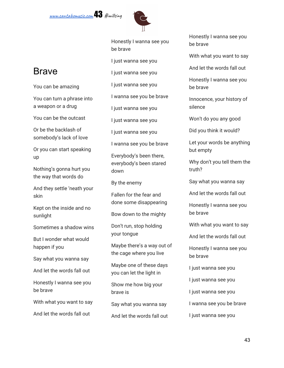

Honestly I wanna see you be brave

I just wanna see you

I just wanna see you

I just wanna see you

I wanna see you be brave

I just wanna see you

I just wanna see you

I just wanna see you

I wanna see you be brave

Everybody's been there, everybody's been stared down

By the enemy

Fallen for the fear and done some disappearing

Bow down to the mighty

Don't run, stop holding your tongue

Maybe there's a way out of the cage where you live

Maybe one of these days you can let the light in

Show me how big your brave is

Say what you wanna say

And let the words fall out

Honestly I wanna see you be brave

With what you want to say

And let the words fall out

Honestly I wanna see you be brave

Innocence, your history of silence

Won't do you any good

Did you think it would?

Let your words be anything but empty

Why don't you tell them the truth?

Say what you wanna say

And let the words fall out

Honestly I wanna see you be brave

With what you want to say

And let the words fall out

Honestly I wanna see you be brave

I just wanna see you

I just wanna see you

I just wanna see you

I wanna see you be brave

I just wanna see you

## Brave

You can be amazing

You can turn a phrase into a weapon or a drug

You can be the outcast

Or be the backlash of somebody's lack of love

Or you can start speaking up

Nothing's gonna hurt you the way that words do

And they settle 'neath your skin

Kept on the inside and no sunlight

Sometimes a shadow wins

But I wonder what would happen if you

Say what you wanna say

And let the words fall out

Honestly I wanna see you be brave

With what you want to say

And let the words fall out